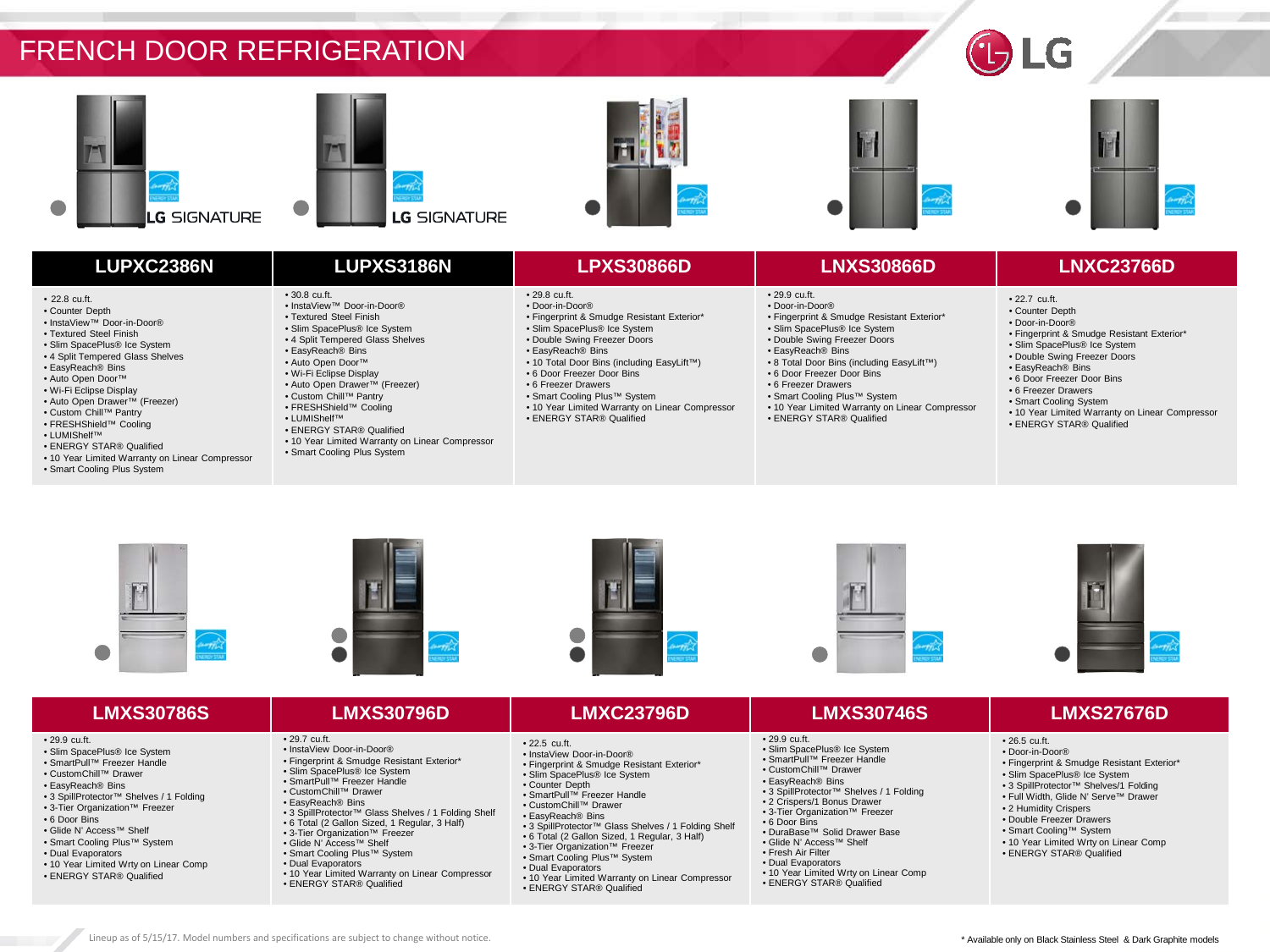











# **LUPXC2386N LUPXS3186N LPXS30866D LNXS30866D LNXC23766D**

## • 22.8 cu.ft.

- Counter Depth
- InstaView™ Door-in-Door®
- Textured Steel Finish
- Slim SpacePlus® Ice System
- 4 Split Tempered Glass Shelves
- EasyReach® Bins
- Auto Open Door™
- Wi-Fi Eclipse Display
- Auto Open Drawer™ (Freezer)
- Custom Chill™ Pantry
- FRESHShield™ Cooling
- LUMIShelf™
- ENERGY STAR® Qualified
- 10 Year Limited Warranty on Linear Compressor
- Smart Cooling Plus System

# • 30.8 cu.ft.

- InstaView™ Door-in-Door® • Textured Steel Finish
- Slim SpacePlus® Ice System
- 
- 4 Split Tempered Glass Shelves • EasyReach® Bins
- Auto Open Door™
- Wi-Fi Eclipse Display
- Auto Open Drawer™ (Freezer)
- Custom Chill™ Pantry
- FRESHShield™ Cooling
- LUMIShelf™
- ENERGY STAR® Qualified
- 10 Year Limited Warranty on Linear Compressor
- Smart Cooling Plus System
- Door-in-Door® • Fingerprint & Smudge Resistant Exterior\*
- Slim SpacePlus® Ice System
- Double Swing Freezer Doors
- EasyReach® Bins

• 29.8 cu.ft.

- 10 Total Door Bins (including EasyLift™)
- 6 Door Freezer Door Bins
- 6 Freezer Drawers

• 22.5 cu.ft. • InstaView Door-in-Door®

- Smart Cooling Plus™ System
- 10 Year Limited Warranty on Linear Compressor • ENERGY STAR® Qualified
	-

## • 29.9 cu.ft.

- Door-in-Door® • Fingerprint & Smudge Resistant Exterior\*
- Slim SpacePlus® Ice System
- Double Swing Freezer Doors
- EasyReach® Bins
- 8 Total Door Bins (including EasyLift™)
- 6 Door Freezer Door Bins
- 6 Freezer Drawers
- Smart Cooling Plus™ System
- 10 Year Limited Warranty on Linear Compressor
- ENERGY STAR® Qualified

- 22.7 cu.ft. • Counter Depth
- Door-in-Door®
- Fingerprint & Smudge Resistant Exterior\*
- Slim SpacePlus® Ice System
- Double Swing Freezer Doors
- EasyReach® Bins
- 6 Door Freezer Door Bins
- 6 Freezer Drawers

• 26.5 cu.ft. • Door-in-Door®

- Smart Cooling System
- 10 Year Limited Warranty on Linear Compressor • ENERGY STAR® Qualified







• Fingerprint & Smudge Resistant Exterior\* • Slim SpacePlus® Ice System • Counter Depth • SmartPull™ Freezer Handle • CustomChill™ Drawer • EasyReach® Bins

• 3 SpillProtector™ Glass Shelves / 1 Folding Shelf • 6 Total (2 Gallon Sized, 1 Regular, 3 Half) • 3-Tier Organization™ Freezer • Smart Cooling Plus™ System • Dual Evaporators

• 10 Year Limited Warranty on Linear Compressor

• ENERGY STAR® Qualified



• 29.9 cu.ft.

• 6 Door Bins

• Slim SpacePlus® Ice System • SmartPull™ Freezer Handle • CustomChill™ Drawer • EasyReach® Bins

• 3 SpillProtector™ Shelves / 1 Folding • 2 Crispers/1 Bonus Drawer • 3-Tier Organization™ Freezer

• 10 Year Limited Wrty on Linear Comp • ENERGY STAR® Qualified

• DuraBase™ Solid Drawer Base • Glide N' Access™ Shelf • Fresh Air Filter • Dual Evaporators



• Fingerprint & Smudge Resistant Exterior\* • Slim SpacePlus® Ice System • 3 SpillProtector™ Shelves/1 Folding • Full Width, Glide N' Serve™ Drawer • 2 Humidity Crispers • Double Freezer Drawers • Smart Cooling™ System • 10 Year Limited Wrty on Linear Comp • ENERGY STAR® Qualified

\* Available only on Black Stainless Steel & Dark Graphite models

# **LMXS30786S LMXS30796D LMXC23796D LMXS30746S LMXS27676D**

### • 29.9 cu.ft.

- Slim SpacePlus® Ice System
- SmartPull™ Freezer Handle
- CustomChill™ Drawer
- EasyReach® Bins
- 3 SpillProtector™ Shelves / 1 Folding
- 3-Tier Organization™ Freezer
- 6 Door Bins
- Glide N' Access™ Shelf
- Smart Cooling Plus™ System
- Dual Evaporators
- 10 Year Limited Wrty on Linear Comp
- ENERGY STAR® Qualified
- 
- InstaView Door-in-Door®
- Fingerprint & Smudge Resistant Exterior\*
- Slim SpacePlus® Ice System • SmartPull™ Freezer Handle
- CustomChill™ Drawer

• Smart Cooling Plus™ System

• ENERGY STAR® Qualified

• EasyReach® Bins

• 29.7 cu.ft.

• 3 SpillProtector™ Glass Shelves / 1 Folding Shelf

• 10 Year Limited Warranty on Linear Compressor

- 6 Total (2 Gallon Sized, 1 Regular, 3 Half)
- 
- 3-Tier Organization™ Freezer Glide N' Access™ Shelf • Dual Evaporators

Lineup as of 5/15/17. Model numbers and specifications are subject to change without notice.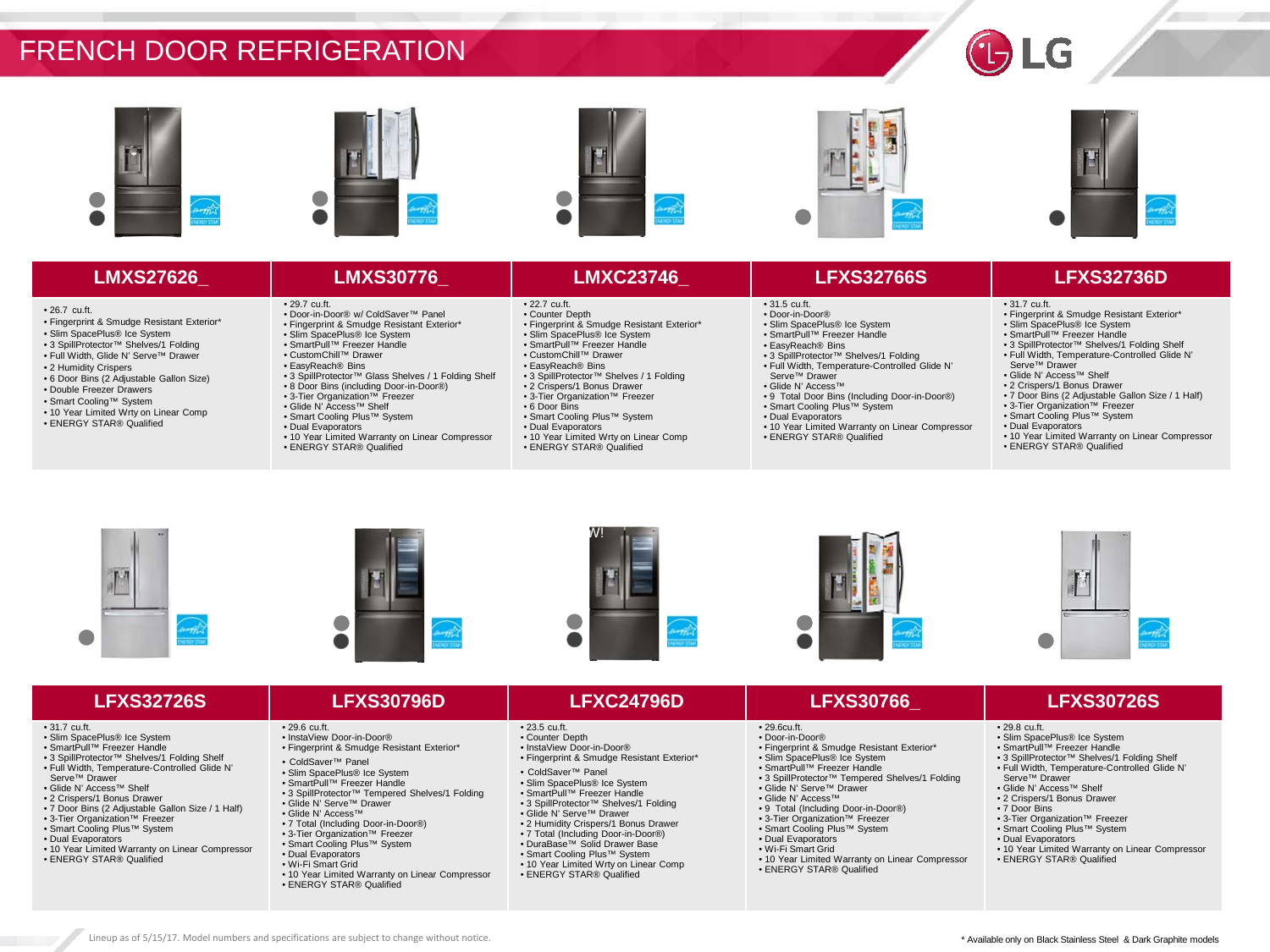











• Fingerprint & Smudge Resistant Exterior\* • Slim SpacePlus® Ice System • 3 SpillProtector™ Shelves/1 Folding • Full Width, Glide N' Serve™ Drawer

• 6 Door Bins (2 Adjustable Gallon Size) • Double Freezer Drawers • Smart Cooling™ System • 10 Year Limited Wrty on Linear Comp • ENERGY STAR® Qualified

• 26.7 cu.ft.

• 2 Humidity Crispers

- 29.7 cu.ft. • Door-in-Door® w/ ColdSaver™ Panel
- Fingerprint & Smudge Resistant Exterior\*
- Slim SpacePlus® Ice System
- SmartPull™ Freezer Handle
	-
- CustomChill™ Drawer • EasyReach® Bins
- 3 SpillProtector™ Glass Shelves / 1 Folding Shelf
- 8 Door Bins (including Door-in-Door®)
- 3-Tier Organization™ Freezer
- Glide N' Access™ Shelf
- Smart Cooling Plus™ System
- Dual Evaporators
- 10 Year Limited Warranty on Linear Compressor • ENERGY STAR® Qualified
- 22.7 cu.ft.
- Counter Depth • Fingerprint & Smudge Resistant Exterior\*
- 
- Slim SpacePlus® Ice System SmartPull™ Freezer Handle
- CustomChill™ Drawer
- EasyReach® Bins
- 3 SpillProtector™ Shelves / 1 Folding
- 2 Crispers/1 Bonus Drawer
- 3-Tier Organization™ Freezer
- 6 Door Bins
- Smart Cooling Plus™ System
- Dual Evaporators
- 10 Year Limited Wrty on Linear Comp
- ENERGY STAR® Qualified

**LMXS27626\_ LMXS30776\_ LMXC23746\_ LFXS32766S LFXS32736D**

• 3 SpillProtector™ Shelves/1 Folding • Full Width, Temperature-Controlled Glide N'

• 9 Total Door Bins (Including Door-in-Door®) • Smart Cooling Plus™ System • Dual Evaporators

• 10 Year Limited Warranty on Linear Compressor

• 31.5 cu.ft. • Door-in-Door® • Slim SpacePlus® Ice System • SmartPull™ Freezer Handle • EasyReach® Bins

Serve™ Drawer • Glide N' Access™

• ENERGY STAR® Qualified

### • 31.7 cu.ft.

- Fingerprint & Smudge Resistant Exterior\*
- Slim SpacePlus® Ice System • SmartPull™ Freezer Handle
- 3 SpillProtector™ Shelves/1 Folding Shelf
- Full Width, Temperature-Controlled Glide N' Serve™ Drawer
- Glide N' Access™ Shelf
- 2 Crispers/1 Bonus Drawer
- 7 Door Bins (2 Adjustable Gallon Size / 1 Half)
- 3-Tier Organization™ Freezer • Smart Cooling Plus™ System
- Dual Evaporators
- 

• 29.8 cu.ft.

Serve™ Drawer • Glide N' Access™ Shelf • 2 Crispers/1 Bonus Drawer • 7 Door Bins

• Slim SpacePlus® Ice System • SmartPull™ Freezer Handle • 3 SpillProtector™ Shelves/1 Folding Shelf • Full Width, Temperature-Controlled Glide N'

• 3-Tier Organization™ Freezer • Smart Cooling Plus™ System • Dual Evaporators

• ENERGY STAR® Qualified

• 10 Year Limited Warranty on Linear Compressor

\* Available only on Black Stainless Steel & Dark Graphite models

- 10 Year Limited Warranty on Linear Compressor • ENERGY STAR® Qualified
- 











### • 31.7 cu.ft.

- Slim SpacePlus® Ice System
- SmartPull™ Freezer Handle
- 3 SpillProtector™ Shelves/1 Folding Shelf
- Full Width, Temperature-Controlled Glide N'
- Serve™ Drawer
- Glide N' Access™ Shelf
- 2 Crispers/1 Bonus Drawer
- 7 Door Bins (2 Adjustable Gallon Size / 1 Half)
- 3-Tier Organization™ Freezer
- Smart Cooling Plus™ System
- Dual Evaporators
- 
- 10 Year Limited Warranty on Linear Compressor • ENERGY STAR® Qualified
	- Dual Evaporators

Lineup as of 5/15/17. Model numbers and specifications are subject to change without notice.

• Wi-Fi Smart Grid

• 29.6 cu.ft. • InstaView Door-in-Door® • Fingerprint & Smudge Resistant Exterior\*

• ColdSaver™ Panel • Slim SpacePlus® Ice System • SmartPull™ Freezer Handle

• Glide N' Serve™ Drawer • Glide N' Access™ • 7 Total (Including Door-in-Door®) • 3-Tier Organization™ Freezer • Smart Cooling Plus™ System

• 10 Year Limited Warranty on Linear Compressor

• 3 SpillProtector™ Tempered Shelves/1 Folding

• ENERGY STAR® Qualified

# **LFXS32726S LFXS30796D LFXC24796D LFXS30766\_ LFXS30726S**

### • 23.5 cu.ft.

- Counter Depth
- InstaView Door-in-Door®
- Fingerprint & Smudge Resistant Exterior\*
- ColdSaver™ Panel
- Slim SpacePlus® Ice System
- SmartPull™ Freezer Handle
- 3 SpillProtector™ Shelves/1 Folding
- Glide N' Serve™ Drawer
- 2 Humidity Crispers/1 Bonus Drawer
- 7 Total (Including Door-in-Door®)
- DuraBase™ Solid Drawer Base
- Smart Cooling Plus™ System
- 10 Year Limited Wrty on Linear Comp
- ENERGY STAR® Qualified

## • 29.6cu.ft.

- Door-in-Door®
- Fingerprint & Smudge Resistant Exterior\*
- Slim SpacePlus® Ice System • SmartPull™ Freezer Handle
- 3 SpillProtector™ Tempered Shelves/1 Folding
- Glide N' Serve™ Drawer

• 10 Year Limited Warranty on Linear Compressor

• Glide N' Access™

• Dual Evaporators • Wi-Fi Smart Grid

• 9 Total (Including Door-in-Door®) • 3-Tier Organization™ Freezer • Smart Cooling Plus™ System

• ENERGY STAR® Qualified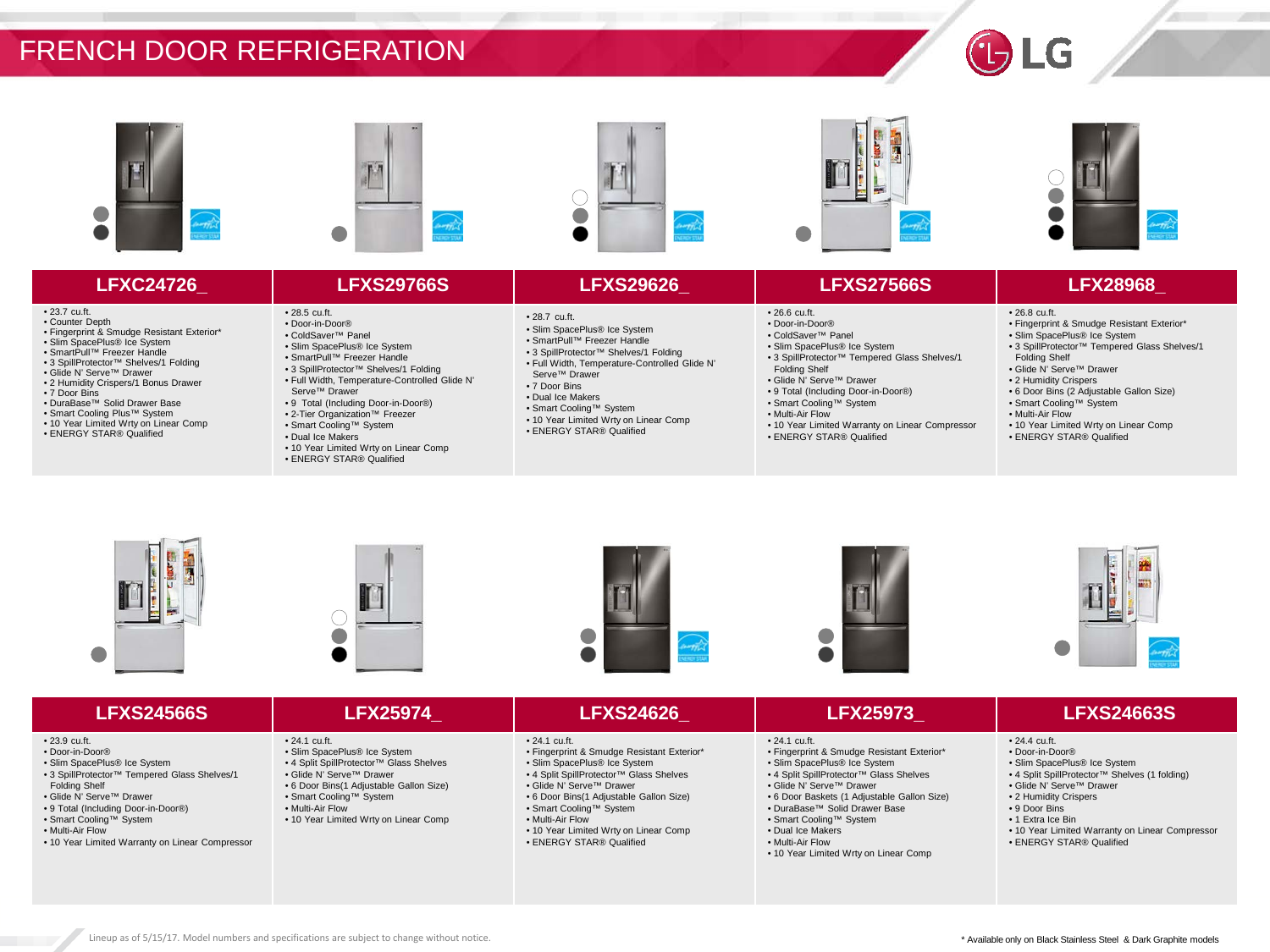











# **LFXC24726\_ LFXS29766S LFXS29626\_ LFXS27566S LFX28968\_**

# • 23.7 cu.ft.

- Counter Depth Fingerprint & Smudge Resistant Exterior\*
- 
- Slim SpacePlus® Ice System • SmartPull™ Freezer Handle
- 3 SpillProtector™ Shelves/1 Folding
- Glide N' Serve™ Drawer
- 2 Humidity Crispers/1 Bonus Drawer
- 7 Door Bins • DuraBase™ Solid Drawer Base
- 
- Smart Cooling Plus™ System • 10 Year Limited Wrty on Linear Comp
- ENERGY STAR® Qualified
- 28.5 cu.ft. • Door-in-Door®
- ColdSaver™ Panel
- Slim SpacePlus® Ice System
- SmartPull™ Freezer Handle
- 3 SpillProtector™ Shelves/1 Folding
- Full Width, Temperature-Controlled Glide N' Serve™ Drawer
- 9 Total (Including Door-in-Door®)
- 2-Tier Organization™ Freezer
- Smart Cooling™ System
- Dual Ice Makers
- 10 Year Limited Wrty on Linear Comp • ENERGY STAR® Qualified
	-
- 28.7 cu.ft.
- Slim SpacePlus® Ice System • SmartPull™ Freezer Handle
- 3 SpillProtector™ Shelves/1 Folding
- Full Width, Temperature-Controlled Glide N' Serve™ Drawer
- 7 Door Bins
- Dual Ice Makers
- Smart Cooling™ System
- 10 Year Limited Wrty on Linear Comp
- ENERGY STAR® Qualified

• 3 SpillProtector™ Tempered Glass Shelves/1

• 10 Year Limited Warranty on Linear Compressor

• 26.6 cu.ft. • Door-in-Door® • ColdSaver™ Panel • Slim SpacePlus® Ice System

Folding Shelf • Glide N' Serve™ Drawer • 9 Total (Including Door-in-Door®) • Smart Cooling™ System • Multi-Air Flow

• ENERGY STAR® Qualified

- Fingerprint & Smudge Resistant Exterior\*
- Slim SpacePlus® Ice System
- 3 SpillProtector™ Tempered Glass Shelves/1
- Folding Shelf
- Glide N' Serve™ Drawer

• 26.8 cu.ft.

- 2 Humidity Crispers
- 6 Door Bins (2 Adjustable Gallon Size)
- Smart Cooling™ System
- Multi-Air Flow
- 10 Year Limited Wrty on Linear Comp • ENERGY STAR® Qualified











- 23.9 cu.ft.
- Door-in-Door®
- Slim SpacePlus® Ice System
- 3 SpillProtector™ Tempered Glass Shelves/1
- Folding Shelf
- Glide N' Serve™ Drawer
- 9 Total (Including Door-in-Door®)
- Smart Cooling™ System
- Multi-Air Flow • 10 Year Limited Warranty on Linear Compressor
- 24.1 cu.ft. • Slim SpacePlus® Ice System
- 4 Split SpillProtector™ Glass Shelves
- Glide N' Serve™ Drawer
- 6 Door Bins(1 Adjustable Gallon Size)
- Smart Cooling™ System

Lineup as of 5/15/17. Model numbers and specifications are subject to change without notice.

- Multi-Air Flow
- 10 Year Limited Wrty on Linear Comp
- 24.1 cu.ft. • Fingerprint & Smudge Resistant Exterior\*
- Slim SpacePlus® Ice System
- 4 Split SpillProtector™ Glass Shelves
- Glide N' Serve™ Drawer
- 6 Door Bins(1 Adjustable Gallon Size) • Smart Cooling™ System
- Multi-Air Flow
- 10 Year Limited Wrty on Linear Comp • ENERGY STAR® Qualified

## • 24.1 cu.ft.

- Fingerprint & Smudge Resistant Exterior\* • Slim SpacePlus® Ice System
- 4 Split SpillProtector™ Glass Shelves
- Glide N' Serve™ Drawer
- 6 Door Baskets (1 Adjustable Gallon Size)
- DuraBase™ Solid Drawer Base
- Smart Cooling™ System
- Dual Ice Makers • Multi-Air Flow
- 10 Year Limited Wrty on Linear Comp

# **LFXS24566S LFX25974\_ LFXS24626\_ LFX25973\_ LFXS24663S**

# • 24.4 cu.ft.

- Door-in-Door® • Slim SpacePlus® Ice System
- 4 Split SpillProtector™ Shelves (1 folding)

\* Available only on Black Stainless Steel & Dark Graphite models

- Glide N' Serve™ Drawer
- 2 Humidity Crispers
- 9 Door Bins
- 1 Extra Ice Bin
- 10 Year Limited Warranty on Linear Compressor • ENERGY STAR® Qualified